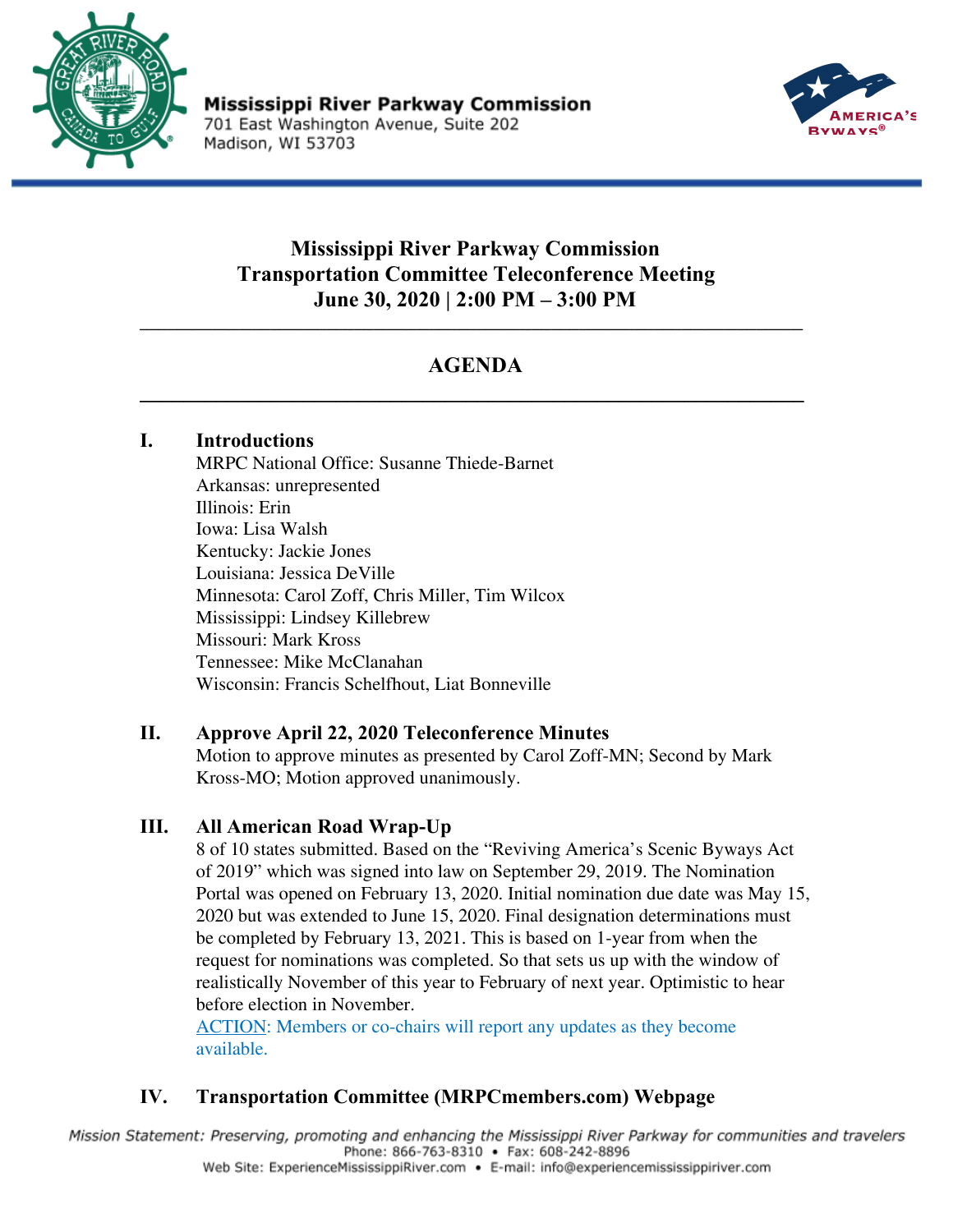

Mississippi River Parkway Commission 701 East Washington Avenue, Suite 202 Madison, WI 53703



# **Mississippi River Parkway Commission Transportation Committee Teleconference Meeting June 30, 2020 | 2:00 PM – 3:00 PM**

# **AGENDA \_\_\_\_\_\_\_\_\_\_\_\_\_\_\_\_\_\_\_\_\_\_\_\_\_\_\_\_\_\_\_\_\_\_\_\_\_\_\_\_\_\_\_\_\_\_\_\_\_\_\_\_\_\_\_\_\_\_\_\_\_**

\_\_\_\_\_\_\_\_\_\_\_\_\_\_\_\_\_\_\_\_\_\_\_\_\_\_\_\_\_\_\_\_\_\_\_\_\_\_\_\_\_\_\_\_\_\_\_\_\_\_\_\_\_\_\_\_\_\_\_\_\_\_\_\_\_\_\_\_\_\_\_

## **I. Introductions**

MRPC National Office: Susanne Thiede-Barnet Arkansas: unrepresented Illinois: Erin Iowa: Lisa Walsh Kentucky: Jackie Jones Louisiana: Jessica DeVille Minnesota: Carol Zoff, Chris Miller, Tim Wilcox Mississippi: Lindsey Killebrew Missouri: Mark Kross Tennessee: Mike McClanahan Wisconsin: Francis Schelfhout, Liat Bonneville

## **II. Approve April 22, 2020 Teleconference Minutes**

Motion to approve minutes as presented by Carol Zoff-MN; Second by Mark Kross-MO; Motion approved unanimously.

#### **III. All American Road Wrap-Up**

8 of 10 states submitted. Based on the "Reviving America's Scenic Byways Act of 2019" which was signed into law on September 29, 2019. The Nomination Portal was opened on February 13, 2020. Initial nomination due date was May 15, 2020 but was extended to June 15, 2020. Final designation determinations must be completed by February 13, 2021. This is based on 1-year from when the request for nominations was completed. So that sets us up with the window of realistically November of this year to February of next year. Optimistic to hear before election in November.

ACTION: Members or co-chairs will report any updates as they become available.

## **IV. Transportation Committee (MRPCmembers.com) Webpage**

Mission Statement: Preserving, promoting and enhancing the Mississippi River Parkway for communities and travelers Phone: 866-763-8310 • Fax: 608-242-8896 Web Site: ExperienceMississippiRiver.com • E-mail: info@experiencemississippiriver.com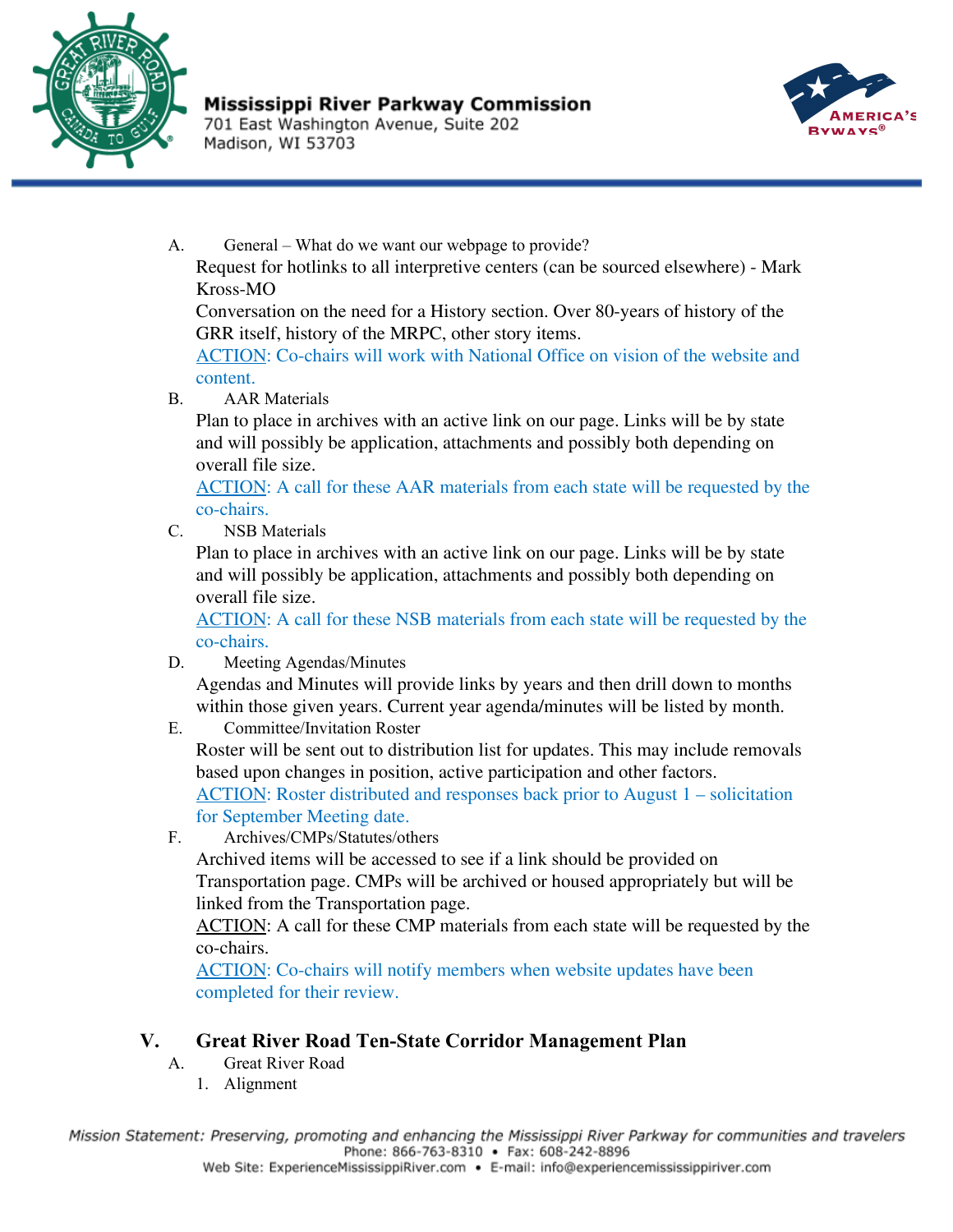

701 East Washington Avenue, Suite 202 Madison, WI 53703



A. General – What do we want our webpage to provide? Request for hotlinks to all interpretive centers (can be sourced elsewhere) - Mark Kross-MO

Conversation on the need for a History section. Over 80-years of history of the GRR itself, history of the MRPC, other story items.

ACTION: Co-chairs will work with National Office on vision of the website and content.

B. AAR Materials

Plan to place in archives with an active link on our page. Links will be by state and will possibly be application, attachments and possibly both depending on overall file size.

ACTION: A call for these AAR materials from each state will be requested by the co-chairs.

C. NSB Materials

Plan to place in archives with an active link on our page. Links will be by state and will possibly be application, attachments and possibly both depending on overall file size.

ACTION: A call for these NSB materials from each state will be requested by the co-chairs.

D. Meeting Agendas/Minutes

Agendas and Minutes will provide links by years and then drill down to months within those given years. Current year agenda/minutes will be listed by month.

E. Committee/Invitation Roster

Roster will be sent out to distribution list for updates. This may include removals based upon changes in position, active participation and other factors.

ACTION: Roster distributed and responses back prior to August 1 – solicitation for September Meeting date.

F. Archives/CMPs/Statutes/others

Archived items will be accessed to see if a link should be provided on Transportation page. CMPs will be archived or housed appropriately but will be linked from the Transportation page.

ACTION: A call for these CMP materials from each state will be requested by the co-chairs.

ACTION: Co-chairs will notify members when website updates have been completed for their review.

## **V. Great River Road Ten-State Corridor Management Plan**

- A. Great River Road
	- 1. Alignment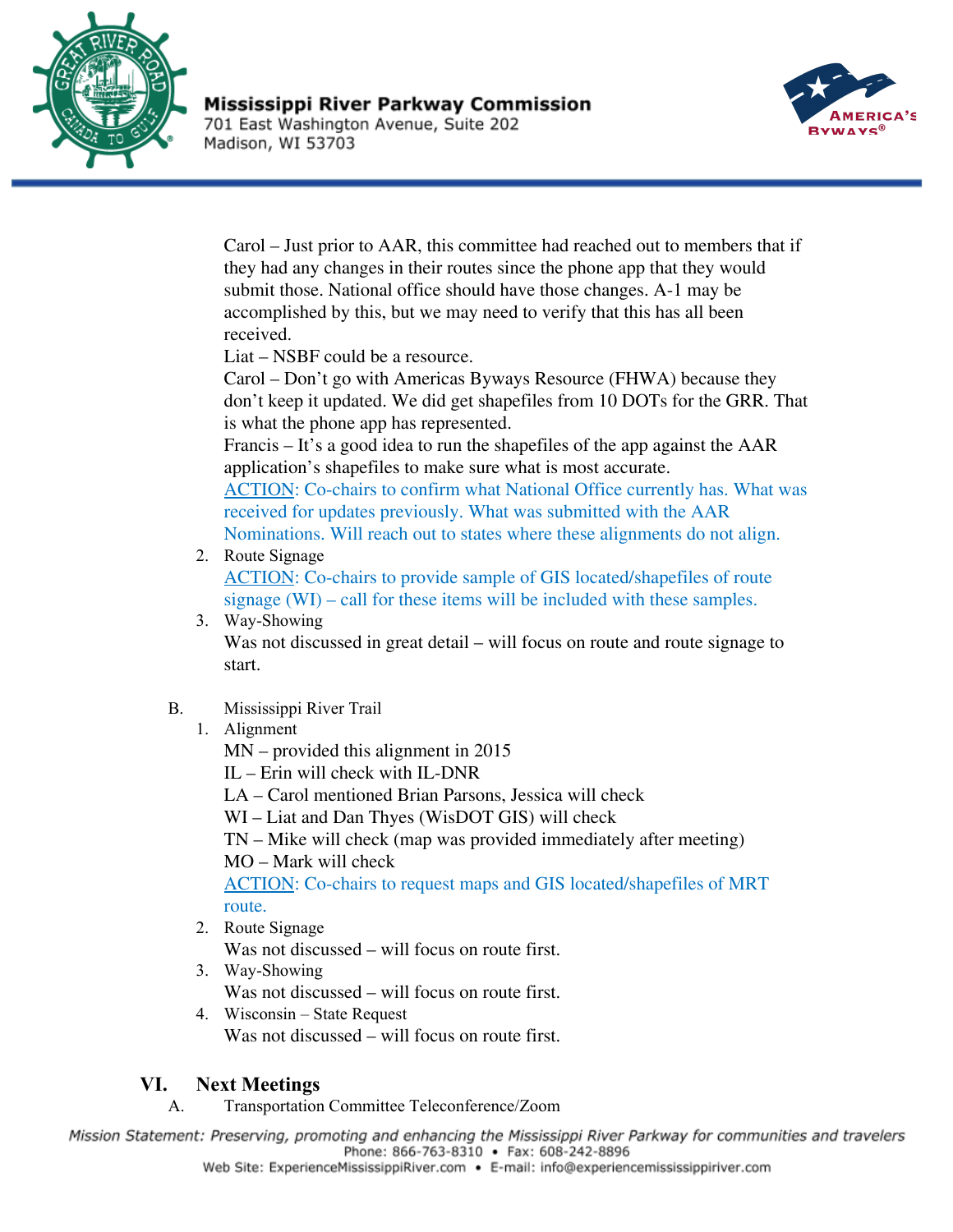

701 East Washington Avenue, Suite 202 Madison, WI 53703



Carol – Just prior to AAR, this committee had reached out to members that if they had any changes in their routes since the phone app that they would submit those. National office should have those changes. A-1 may be accomplished by this, but we may need to verify that this has all been received.

Liat – NSBF could be a resource.

Carol – Don't go with Americas Byways Resource (FHWA) because they don't keep it updated. We did get shapefiles from 10 DOTs for the GRR. That is what the phone app has represented.

Francis – It's a good idea to run the shapefiles of the app against the AAR application's shapefiles to make sure what is most accurate.

ACTION: Co-chairs to confirm what National Office currently has. What was received for updates previously. What was submitted with the AAR

Nominations. Will reach out to states where these alignments do not align. 2. Route Signage

ACTION: Co-chairs to provide sample of GIS located/shapefiles of route signage (WI) – call for these items will be included with these samples.

- 3. Way-Showing Was not discussed in great detail – will focus on route and route signage to start.
- B. Mississippi River Trail
	- 1. Alignment

MN – provided this alignment in 2015

IL – Erin will check with IL-DNR

LA – Carol mentioned Brian Parsons, Jessica will check

WI – Liat and Dan Thyes (WisDOT GIS) will check

TN – Mike will check (map was provided immediately after meeting)

MO – Mark will check

ACTION: Co-chairs to request maps and GIS located/shapefiles of MRT route.

2. Route Signage

Was not discussed – will focus on route first.

- 3. Way-Showing Was not discussed – will focus on route first.
- 4. Wisconsin State Request Was not discussed – will focus on route first.

## **VI. Next Meetings**

A. Transportation Committee Teleconference/Zoom

Mission Statement: Preserving, promoting and enhancing the Mississippi River Parkway for communities and travelers Phone: 866-763-8310 • Fax: 608-242-8896 Web Site: ExperienceMississippiRiver.com • E-mail: info@experiencemississippiriver.com